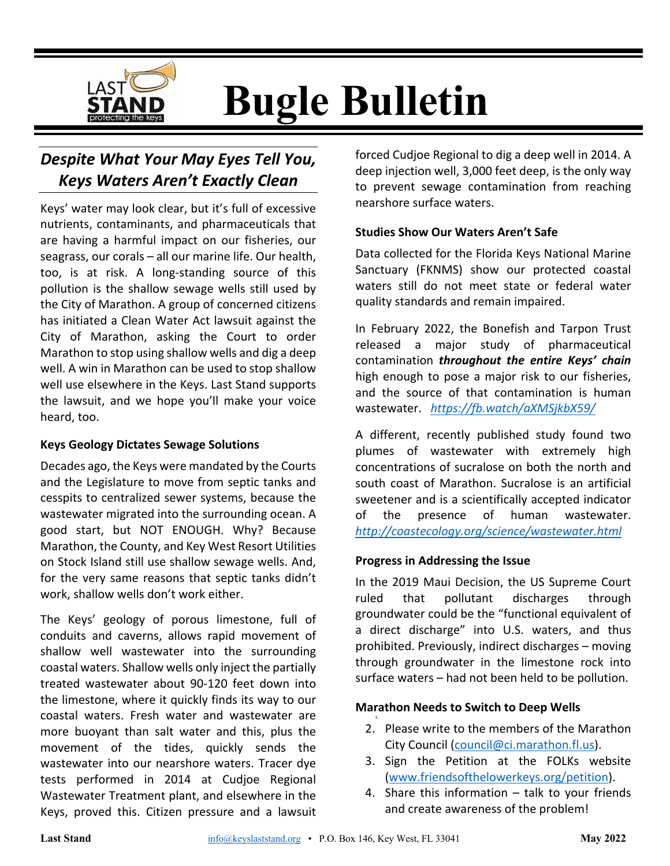

**Bugle Bulletin**

# *Despite What Your May Eyes Tell You, Keys Waters Aren't Exactly Clean*

Keys' water may look clear, but it's full of excessive nutrients, contaminants, and pharmaceuticals that are having a harmful impact on our fisheries, our seagrass, our corals – all our marine life. Our health, too, is at risk. A long-standing source of this pollution is the shallow sewage wells still used by the City of Marathon. A group of concerned citizens has initiated a Clean Water Act lawsuit against the City of Marathon, asking the Court to order Marathon to stop using shallow wells and dig a deep well. A win in Marathon can be used to stop shallow well use elsewhere in the Keys. Last Stand supports the lawsuit, and we hope you'll make your voice heard, too.

#### **Keys Geology Dictates Sewage Solutions**

Decades ago, the Keys were mandated by the Courts and the Legislature to move from septic tanks and cesspits to centralized sewer systems, because the wastewater migrated into the surrounding ocean. A good start, but NOT ENOUGH. Why? Because Marathon, the County, and Key West Resort Utilities on Stock Island still use shallow sewage wells. And, for the very same reasons that septic tanks didn't work, shallow wells don't work either.

The Keys' geology of porous limestone, full of conduits and caverns, allows rapid movement of shallow well wastewater into the surrounding coastal waters. Shallow wells only inject the partially treated wastewater about 90-120 feet down into the limestone, where it quickly finds its way to our coastal waters. Fresh water and wastewater are more buoyant than salt water and this, plus the movement of the tides, quickly sends the wastewater into our nearshore waters. Tracer dye tests performed in 2014 at Cudjoe Regional Wastewater Treatment plant, and elsewhere in the Keys, proved this. Citizen pressure and a lawsuit

forced Cudjoe Regional to dig a deep well in 2014. A deep injection well, 3,000 feet deep, is the only way to prevent sewage contamination from reaching nearshore surface waters.

#### **Studies Show Our Waters Aren't Safe**

Data collected for the Florida Keys National Marine Sanctuary (FKNMS) show our protected coastal waters still do not meet state or federal water quality standards and remain impaired.

In February 2022, the Bonefish and Tarpon Trust released a major study of pharmaceutical contamination *throughout the entire Keys' chain* high enough to pose a major risk to our fisheries, and the source of that contamination is human wastewater. *https://fb.watch/aXMSjkbX59/*

A different, recently published study found two plumes of wastewater with extremely high concentrations of sucralose on both the north and south coast of Marathon. Sucralose is an artificial sweetener and is a scientifically accepted indicator of the presence of human wastewater. *http://coastecology.org/science/wastewater.html*

#### **Progress in Addressing the Issue**

In the 2019 Maui Decision, the US Supreme Court ruled that pollutant discharges through groundwater could be the "functional equivalent of a direct discharge" into U.S. waters, and thus prohibited. Previously, indirect discharges – moving through groundwater in the limestone rock into surface waters – had not been held to be pollution.

#### **Marathon Needs to Switch to Deep Wells**

- 2. Please write to the members of the Marathon City Council (council@ci.marathon.fl.us).
- 3. Sign the Petition at the FOLKs website (www.friendsofthelowerkeys.org/petition).
- 4. Share this information talk to your friends and create awareness of the problem!

1.